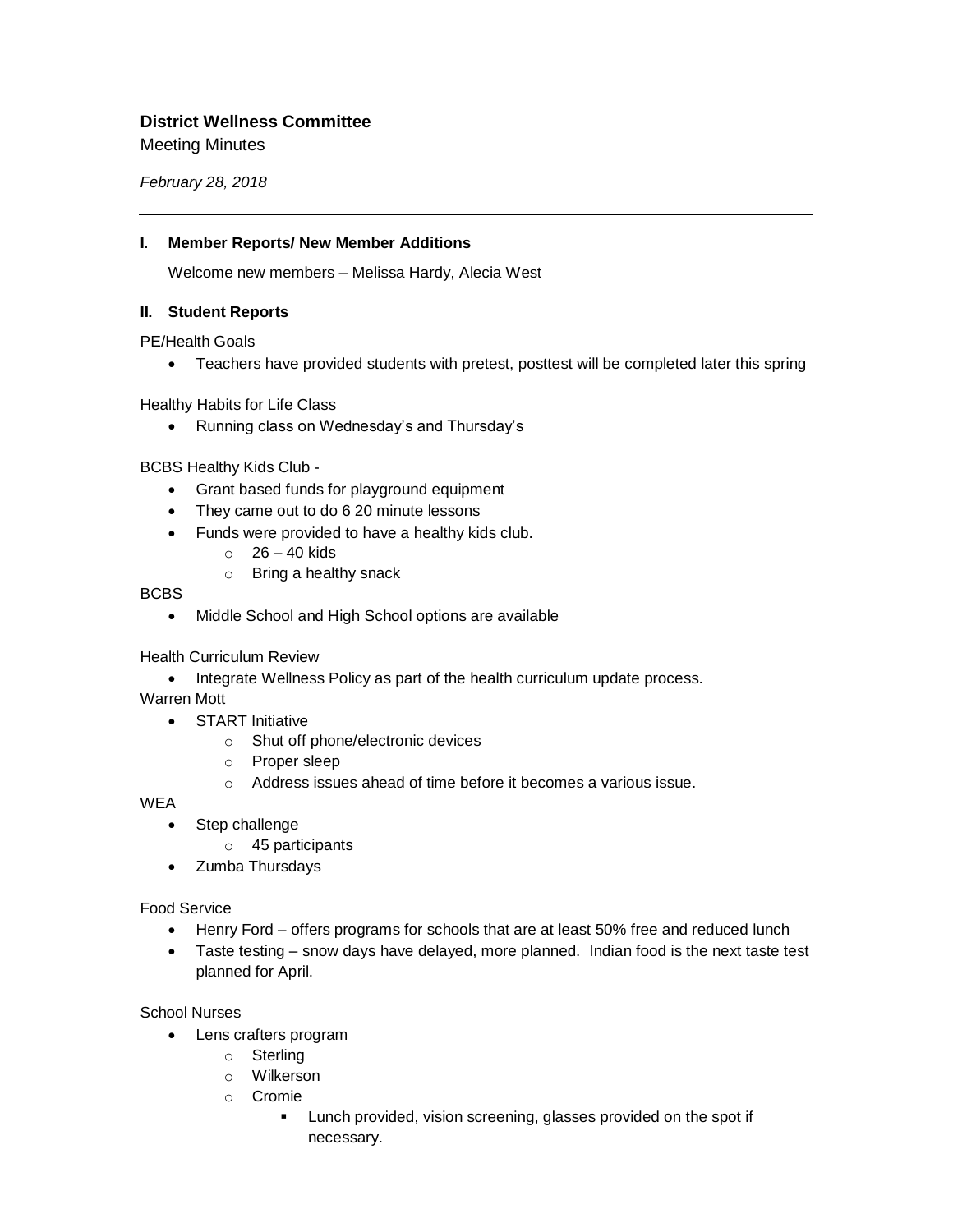# **District Wellness Committee**

Meeting Minutes

*February 28, 2018*

#### **I. Member Reports/ New Member Additions**

Welcome new members – Melissa Hardy, Alecia West

### **II. Student Reports**

PE/Health Goals

• Teachers have provided students with pretest, posttest will be completed later this spring

Healthy Habits for Life Class

• Running class on Wednesday's and Thursday's

BCBS Healthy Kids Club -

- Grant based funds for playground equipment
- They came out to do 6 20 minute lessons
- Funds were provided to have a healthy kids club.
	- $\circ$  26 40 kids
	- o Bring a healthy snack

BCBS

• Middle School and High School options are available

Health Curriculum Review

• Integrate Wellness Policy as part of the health curriculum update process.

Warren Mott

- START Initiative
	- o Shut off phone/electronic devices
	- o Proper sleep
	- o Address issues ahead of time before it becomes a various issue.

**WEA** 

- Step challenge
	- o 45 participants
- Zumba Thursdays

#### Food Service

- Henry Ford offers programs for schools that are at least 50% free and reduced lunch
- Taste testing snow days have delayed, more planned. Indian food is the next taste test planned for April.

#### School Nurses

- Lens crafters program
	- o Sterling
	- o Wilkerson
	- o Cromie
		- **EXECT** Lunch provided, vision screening, glasses provided on the spot if necessary.